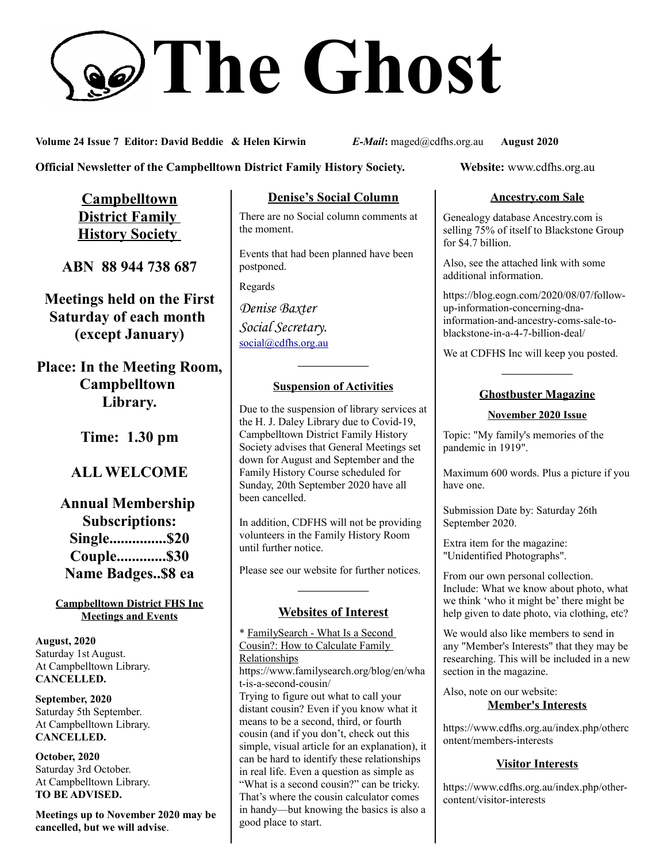# **The Ghost**

**Volume 24 Issue 7 Editor: David Beddie & Helen Kirwin** *E-Mail***:** maged@cdfhs.org.au **August 2020**

**Official Newsletter of the Campbelltown District Family History Society. Website: www.cdfhs.org.au** 

**Campbelltown District Family History Society** 

**ABN 88 944 738 687**

**Meetings held on the First Saturday of each month (except January)**

**Place: In the Meeting Room, Campbelltown Library.**

**Time: 1.30 pm**

# **ALL WELCOME**

**Annual Membership Subscriptions: Single...............\$20 Couple.............\$30 Name Badges..\$8 ea**

#### **Campbelltown District FHS Inc Meetings and Events**

**August, 2020** Saturday 1st August. At Campbelltown Library. **CANCELLED.**

**September, 2020** Saturday 5th September. At Campbelltown Library. **CANCELLED.**

**October, 2020** Saturday 3rd October. At Campbelltown Library. **TO BE ADVISED.**

**Meetings up to November 2020 may be cancelled, but we will advise**.

## **Denise's Social Column**

There are no Social column comments at the moment.

Events that had been planned have been postponed.

Regards

*Denise Baxter Social Secretary.* [social@cdfhs.org.au](mailto:social@cdfhs.org.au)

# **——————– Suspension of Activities**

Due to the suspension of library services at the H. J. Daley Library due to Covid-19, Campbelltown District Family History Society advises that General Meetings set down for August and September and the Family History Course scheduled for Sunday, 20th September 2020 have all been cancelled.

In addition, CDFHS will not be providing volunteers in the Family History Room until further notice.

Please see our website for further notices.

# **——————– Websites of Interest**

\* FamilySearch - What Is a Second Cousin?: How to Calculate Family Relationships https://www.familysearch.org/blog/en/wha t-is-a-second-cousin/ Trying to figure out what to call your distant cousin? Even if you know what it means to be a second, third, or fourth cousin (and if you don't, check out this simple, visual article for an explanation), it can be hard to identify these relationships in real life. Even a question as simple as "What is a second cousin?" can be tricky. That's where the cousin calculator comes in handy—but knowing the basics is also a good place to start.

#### **Ancestry.com Sale**

Genealogy database Ancestry.com is selling 75% of itself to Blackstone Group for \$4.7 billion.

Also, see the attached link with some additional information.

https://blog.eogn.com/2020/08/07/followup-information-concerning-dnainformation-and-ancestry-coms-sale-toblackstone-in-a-4-7-billion-deal/

We at CDFHS Inc will keep you posted.

## **——————– Ghostbuster Magazine**

#### **November 2020 Issue**

Topic: "My family's memories of the pandemic in 1919".

Maximum 600 words. Plus a picture if you have one.

Submission Date by: Saturday 26th September 2020.

Extra item for the magazine: "Unidentified Photographs".

From our own personal collection. Include: What we know about photo, what we think 'who it might be' there might be help given to date photo, via clothing, etc?

We would also like members to send in any "Member's Interests" that they may be researching. This will be included in a new section in the magazine.

Also, note on our website: **Member's Interests**

https://www.cdfhs.org.au/index.php/otherc ontent/members-interests

### **Visitor Interests**

https://www.cdfhs.org.au/index.php/othercontent/visitor-interests